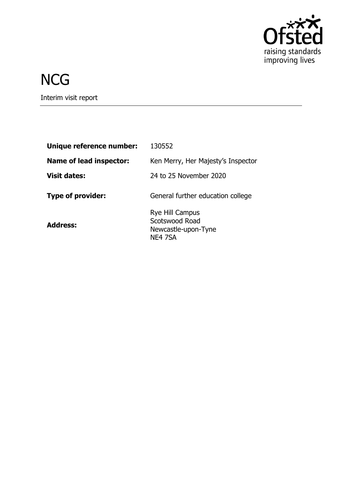

# **NCG**

Interim visit report

| Unique reference number:       | 130552                                                              |
|--------------------------------|---------------------------------------------------------------------|
| <b>Name of lead inspector:</b> | Ken Merry, Her Majesty's Inspector                                  |
| <b>Visit dates:</b>            | 24 to 25 November 2020                                              |
| <b>Type of provider:</b>       | General further education college                                   |
| <b>Address:</b>                | Rye Hill Campus<br>Scotswood Road<br>Newcastle-upon-Tyne<br>NE4 7SA |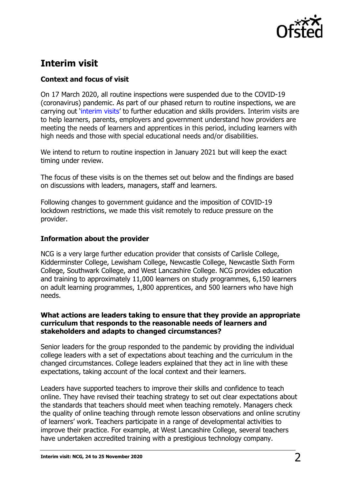

## **Interim visit**

### **Context and focus of visit**

On 17 March 2020, all routine inspections were suspended due to the COVID-19 (coronavirus) pandemic. As part of our phased return to routine inspections, we are carrying out '[interim visits](https://www.gov.uk/guidance/interim-phase-further-education-and-skills-providers#interim-visits)' to further education and skills providers. Interim visits are to help learners, parents, employers and government understand how providers are meeting the needs of learners and apprentices in this period, including learners with high needs and those with special educational needs and/or disabilities.

We intend to return to routine inspection in January 2021 but will keep the exact timing under review.

The focus of these visits is on the themes set out below and the findings are based on discussions with leaders, managers, staff and learners.

Following changes to government guidance and the imposition of COVID-19 lockdown restrictions, we made this visit remotely to reduce pressure on the provider.

#### **Information about the provider**

NCG is a very large further education provider that consists of Carlisle College, Kidderminster College, Lewisham College, Newcastle College, Newcastle Sixth Form College, Southwark College, and West Lancashire College. NCG provides education and training to approximately 11,000 learners on study programmes, 6,150 learners on adult learning programmes, 1,800 apprentices, and 500 learners who have high needs.

#### **What actions are leaders taking to ensure that they provide an appropriate curriculum that responds to the reasonable needs of learners and stakeholders and adapts to changed circumstances?**

Senior leaders for the group responded to the pandemic by providing the individual college leaders with a set of expectations about teaching and the curriculum in the changed circumstances. College leaders explained that they act in line with these expectations, taking account of the local context and their learners.

Leaders have supported teachers to improve their skills and confidence to teach online. They have revised their teaching strategy to set out clear expectations about the standards that teachers should meet when teaching remotely. Managers check the quality of online teaching through remote lesson observations and online scrutiny of learners' work. Teachers participate in a range of developmental activities to improve their practice. For example, at West Lancashire College, several teachers have undertaken accredited training with a prestigious technology company.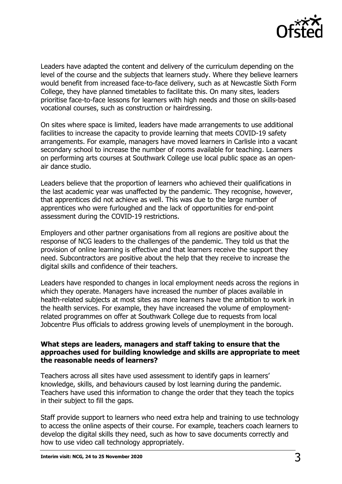

Leaders have adapted the content and delivery of the curriculum depending on the level of the course and the subjects that learners study. Where they believe learners would benefit from increased face-to-face delivery, such as at Newcastle Sixth Form College, they have planned timetables to facilitate this. On many sites, leaders prioritise face-to-face lessons for learners with high needs and those on skills-based vocational courses, such as construction or hairdressing.

On sites where space is limited, leaders have made arrangements to use additional facilities to increase the capacity to provide learning that meets COVID-19 safety arrangements. For example, managers have moved learners in Carlisle into a vacant secondary school to increase the number of rooms available for teaching. Learners on performing arts courses at Southwark College use local public space as an openair dance studio.

Leaders believe that the proportion of learners who achieved their qualifications in the last academic year was unaffected by the pandemic. They recognise, however, that apprentices did not achieve as well. This was due to the large number of apprentices who were furloughed and the lack of opportunities for end-point assessment during the COVID-19 restrictions.

Employers and other partner organisations from all regions are positive about the response of NCG leaders to the challenges of the pandemic. They told us that the provision of online learning is effective and that learners receive the support they need. Subcontractors are positive about the help that they receive to increase the digital skills and confidence of their teachers.

Leaders have responded to changes in local employment needs across the regions in which they operate. Managers have increased the number of places available in health-related subjects at most sites as more learners have the ambition to work in the health services. For example, they have increased the volume of employmentrelated programmes on offer at Southwark College due to requests from local Jobcentre Plus officials to address growing levels of unemployment in the borough.

#### **What steps are leaders, managers and staff taking to ensure that the approaches used for building knowledge and skills are appropriate to meet the reasonable needs of learners?**

Teachers across all sites have used assessment to identify gaps in learners' knowledge, skills, and behaviours caused by lost learning during the pandemic. Teachers have used this information to change the order that they teach the topics in their subject to fill the gaps.

Staff provide support to learners who need extra help and training to use technology to access the online aspects of their course. For example, teachers coach learners to develop the digital skills they need, such as how to save documents correctly and how to use video call technology appropriately.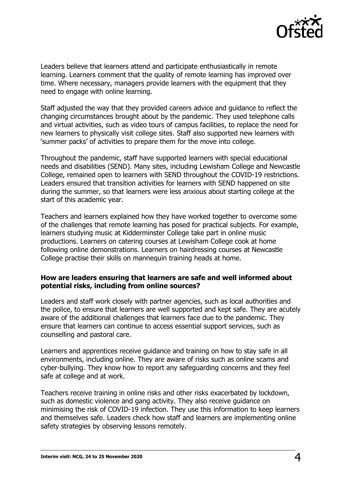

Leaders believe that learners attend and participate enthusiastically in remote learning. Learners comment that the quality of remote learning has improved over time. Where necessary, managers provide learners with the equipment that they need to engage with online learning.

Staff adjusted the way that they provided careers advice and guidance to reflect the changing circumstances brought about by the pandemic. They used telephone calls and virtual activities, such as video tours of campus facilities, to replace the need for new learners to physically visit college sites. Staff also supported new learners with 'summer packs' of activities to prepare them for the move into college.

Throughout the pandemic, staff have supported learners with special educational needs and disabilities (SEND). Many sites, including Lewisham College and Newcastle College, remained open to learners with SEND throughout the COVID-19 restrictions. Leaders ensured that transition activities for learners with SEND happened on site during the summer, so that learners were less anxious about starting college at the start of this academic year.

Teachers and learners explained how they have worked together to overcome some of the challenges that remote learning has posed for practical subjects. For example, learners studying music at Kidderminster College take part in online music productions. Learners on catering courses at Lewisham College cook at home following online demonstrations. Learners on hairdressing courses at Newcastle College practise their skills on mannequin training heads at home.

#### **How are leaders ensuring that learners are safe and well informed about potential risks, including from online sources?**

Leaders and staff work closely with partner agencies, such as local authorities and the police, to ensure that learners are well supported and kept safe. They are acutely aware of the additional challenges that learners face due to the pandemic. They ensure that learners can continue to access essential support services, such as counselling and pastoral care.

Learners and apprentices receive guidance and training on how to stay safe in all environments, including online. They are aware of risks such as online scams and cyber-bullying. They know how to report any safeguarding concerns and they feel safe at college and at work.

Teachers receive training in online risks and other risks exacerbated by lockdown, such as domestic violence and gang activity. They also receive guidance on minimising the risk of COVID-19 infection. They use this information to keep learners and themselves safe. Leaders check how staff and learners are implementing online safety strategies by observing lessons remotely.